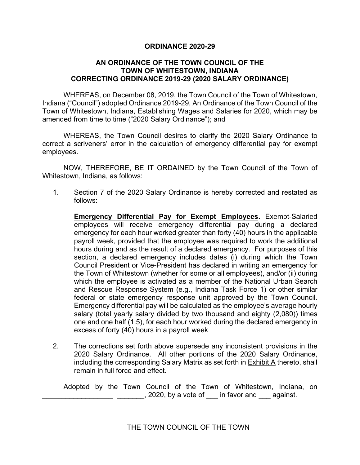## **ORDINANCE 2020-29**

## **AN ORDINANCE OF THE TOWN COUNCIL OF THE TOWN OF WHITESTOWN, INDIANA CORRECTING ORDINANCE 2019-29 (2020 SALARY ORDINANCE)**

WHEREAS, on December 08, 2019, the Town Council of the Town of Whitestown, Indiana ("Council") adopted Ordinance 2019-29, An Ordinance of the Town Council of the Town of Whitestown, Indiana, Establishing Wages and Salaries for 2020, which may be amended from time to time ("2020 Salary Ordinance"); and

WHEREAS, the Town Council desires to clarify the 2020 Salary Ordinance to correct a scriveners' error in the calculation of emergency differential pay for exempt employees.

NOW, THEREFORE, BE IT ORDAINED by the Town Council of the Town of Whitestown, Indiana, as follows:

1. Section 7 of the 2020 Salary Ordinance is hereby corrected and restated as follows:

**Emergency Differential Pay for Exempt Employees.** Exempt-Salaried employees will receive emergency differential pay during a declared emergency for each hour worked greater than forty (40) hours in the applicable payroll week, provided that the employee was required to work the additional hours during and as the result of a declared emergency. For purposes of this section, a declared emergency includes dates (i) during which the Town Council President or Vice-President has declared in writing an emergency for the Town of Whitestown (whether for some or all employees), and/or (ii) during which the employee is activated as a member of the National Urban Search and Rescue Response System (e.g., Indiana Task Force 1) or other similar federal or state emergency response unit approved by the Town Council. Emergency differential pay will be calculated as the employee's average hourly salary (total yearly salary divided by two thousand and eighty (2,080)) times one and one half (1.5), for each hour worked during the declared emergency in excess of forty (40) hours in a payroll week

2. The corrections set forth above supersede any inconsistent provisions in the 2020 Salary Ordinance. All other portions of the 2020 Salary Ordinance, including the corresponding Salary Matrix as set forth in Exhibit A thereto, shall remain in full force and effect.

Adopted by the Town Council of the Town of Whitestown, Indiana, on  $\sim$ , 2020, by a vote of  $\sim$  in favor and  $\sim$  against.

THE TOWN COUNCIL OF THE TOWN